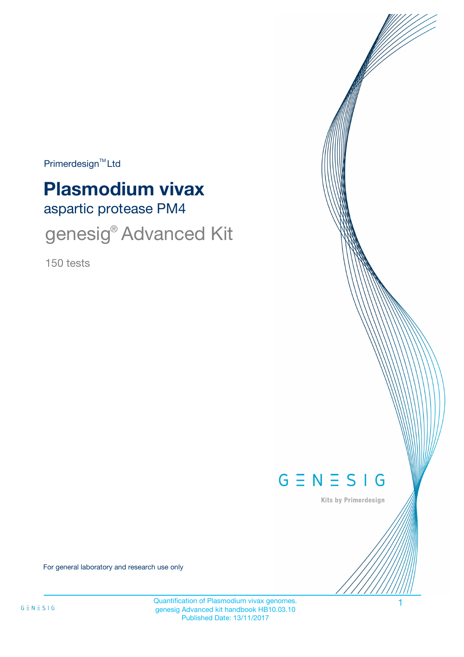$Primerdesign<sup>™</sup>Ltd$ 

# aspartic protease PM4 **Plasmodium vivax**

genesig<sup>®</sup> Advanced Kit

150 tests



Kits by Primerdesign

For general laboratory and research use only

Quantification of Plasmodium vivax genomes. 1 genesig Advanced kit handbook HB10.03.10 Published Date: 13/11/2017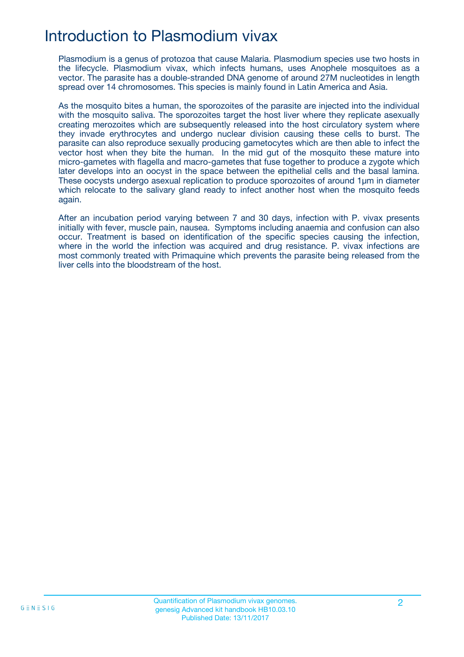## Introduction to Plasmodium vivax

Plasmodium is a genus of protozoa that cause Malaria. Plasmodium species use two hosts in the lifecycle. Plasmodium vivax, which infects humans, uses Anophele mosquitoes as a vector. The parasite has a double-stranded DNA genome of around 27M nucleotides in length spread over 14 chromosomes. This species is mainly found in Latin America and Asia.

As the mosquito bites a human, the sporozoites of the parasite are injected into the individual with the mosquito saliva. The sporozoites target the host liver where they replicate asexually creating merozoites which are subsequently released into the host circulatory system where they invade erythrocytes and undergo nuclear division causing these cells to burst. The parasite can also reproduce sexually producing gametocytes which are then able to infect the vector host when they bite the human. In the mid gut of the mosquito these mature into micro-gametes with flagella and macro-gametes that fuse together to produce a zygote which later develops into an oocyst in the space between the epithelial cells and the basal lamina. These oocysts undergo asexual replication to produce sporozoites of around 1µm in diameter which relocate to the salivary gland ready to infect another host when the mosquito feeds again.

After an incubation period varying between 7 and 30 days, infection with P. vivax presents initially with fever, muscle pain, nausea. Symptoms including anaemia and confusion can also occur. Treatment is based on identification of the specific species causing the infection, where in the world the infection was acquired and drug resistance. P. vivax infections are most commonly treated with Primaquine which prevents the parasite being released from the liver cells into the bloodstream of the host.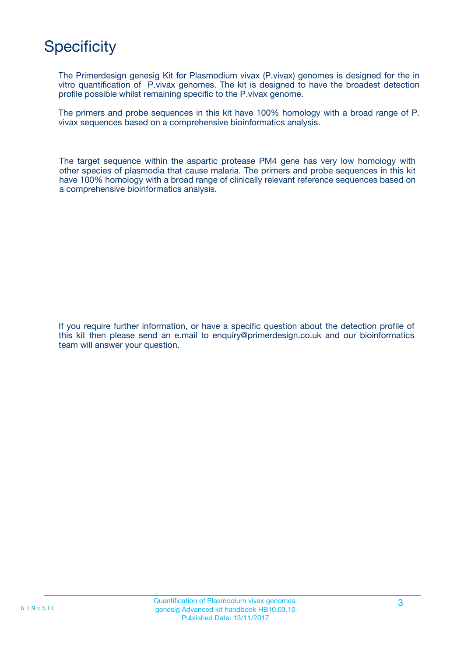# **Specificity**

The Primerdesign genesig Kit for Plasmodium vivax (P.vivax) genomes is designed for the in vitro quantification of P.vivax genomes. The kit is designed to have the broadest detection profile possible whilst remaining specific to the P.vivax genome.

The primers and probe sequences in this kit have 100% homology with a broad range of P. vivax sequences based on a comprehensive bioinformatics analysis.

The target sequence within the aspartic protease PM4 gene has very low homology with other species of plasmodia that cause malaria. The primers and probe sequences in this kit have 100% homology with a broad range of clinically relevant reference sequences based on a comprehensive bioinformatics analysis.

If you require further information, or have a specific question about the detection profile of this kit then please send an e.mail to enquiry@primerdesign.co.uk and our bioinformatics team will answer your question.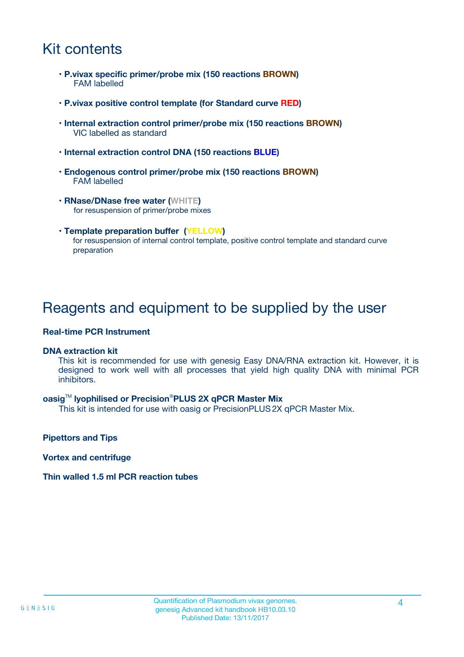## Kit contents

- **P.vivax specific primer/probe mix (150 reactions BROWN)** FAM labelled
- **P.vivax positive control template (for Standard curve RED)**
- **Internal extraction control primer/probe mix (150 reactions BROWN)** VIC labelled as standard
- **Internal extraction control DNA (150 reactions BLUE)**
- **Endogenous control primer/probe mix (150 reactions BROWN)** FAM labelled
- **RNase/DNase free water (WHITE)** for resuspension of primer/probe mixes
- **Template preparation buffer (YELLOW)** for resuspension of internal control template, positive control template and standard curve preparation

### Reagents and equipment to be supplied by the user

#### **Real-time PCR Instrument**

#### **DNA extraction kit**

This kit is recommended for use with genesig Easy DNA/RNA extraction kit. However, it is designed to work well with all processes that yield high quality DNA with minimal PCR inhibitors.

#### **oasig**TM **lyophilised or Precision**®**PLUS 2X qPCR Master Mix**

This kit is intended for use with oasig or PrecisionPLUS2X qPCR Master Mix.

**Pipettors and Tips**

**Vortex and centrifuge**

#### **Thin walled 1.5 ml PCR reaction tubes**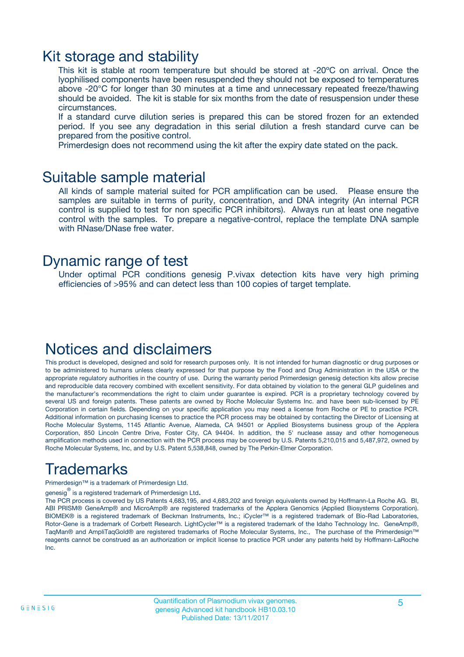### Kit storage and stability

This kit is stable at room temperature but should be stored at -20ºC on arrival. Once the lyophilised components have been resuspended they should not be exposed to temperatures above -20°C for longer than 30 minutes at a time and unnecessary repeated freeze/thawing should be avoided. The kit is stable for six months from the date of resuspension under these circumstances.

If a standard curve dilution series is prepared this can be stored frozen for an extended period. If you see any degradation in this serial dilution a fresh standard curve can be prepared from the positive control.

Primerdesign does not recommend using the kit after the expiry date stated on the pack.

### Suitable sample material

All kinds of sample material suited for PCR amplification can be used. Please ensure the samples are suitable in terms of purity, concentration, and DNA integrity (An internal PCR control is supplied to test for non specific PCR inhibitors). Always run at least one negative control with the samples. To prepare a negative-control, replace the template DNA sample with RNase/DNase free water.

### Dynamic range of test

Under optimal PCR conditions genesig P.vivax detection kits have very high priming efficiencies of >95% and can detect less than 100 copies of target template.

## Notices and disclaimers

This product is developed, designed and sold for research purposes only. It is not intended for human diagnostic or drug purposes or to be administered to humans unless clearly expressed for that purpose by the Food and Drug Administration in the USA or the appropriate regulatory authorities in the country of use. During the warranty period Primerdesign genesig detection kits allow precise and reproducible data recovery combined with excellent sensitivity. For data obtained by violation to the general GLP guidelines and the manufacturer's recommendations the right to claim under guarantee is expired. PCR is a proprietary technology covered by several US and foreign patents. These patents are owned by Roche Molecular Systems Inc. and have been sub-licensed by PE Corporation in certain fields. Depending on your specific application you may need a license from Roche or PE to practice PCR. Additional information on purchasing licenses to practice the PCR process may be obtained by contacting the Director of Licensing at Roche Molecular Systems, 1145 Atlantic Avenue, Alameda, CA 94501 or Applied Biosystems business group of the Applera Corporation, 850 Lincoln Centre Drive, Foster City, CA 94404. In addition, the 5' nuclease assay and other homogeneous amplification methods used in connection with the PCR process may be covered by U.S. Patents 5,210,015 and 5,487,972, owned by Roche Molecular Systems, Inc, and by U.S. Patent 5,538,848, owned by The Perkin-Elmer Corporation.

## Trademarks

Primerdesign™ is a trademark of Primerdesign Ltd.

genesig $^\circledR$  is a registered trademark of Primerdesign Ltd.

The PCR process is covered by US Patents 4,683,195, and 4,683,202 and foreign equivalents owned by Hoffmann-La Roche AG. BI, ABI PRISM® GeneAmp® and MicroAmp® are registered trademarks of the Applera Genomics (Applied Biosystems Corporation). BIOMEK® is a registered trademark of Beckman Instruments, Inc.; iCycler™ is a registered trademark of Bio-Rad Laboratories, Rotor-Gene is a trademark of Corbett Research. LightCycler™ is a registered trademark of the Idaho Technology Inc. GeneAmp®, TaqMan® and AmpliTaqGold® are registered trademarks of Roche Molecular Systems, Inc., The purchase of the Primerdesign™ reagents cannot be construed as an authorization or implicit license to practice PCR under any patents held by Hoffmann-LaRoche Inc.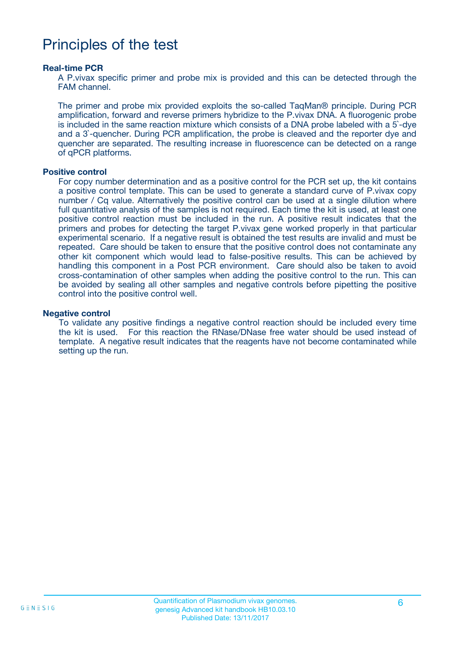### Principles of the test

#### **Real-time PCR**

A P.vivax specific primer and probe mix is provided and this can be detected through the FAM channel.

The primer and probe mix provided exploits the so-called TaqMan® principle. During PCR amplification, forward and reverse primers hybridize to the P.vivax DNA. A fluorogenic probe is included in the same reaction mixture which consists of a DNA probe labeled with a 5`-dye and a 3`-quencher. During PCR amplification, the probe is cleaved and the reporter dye and quencher are separated. The resulting increase in fluorescence can be detected on a range of qPCR platforms.

#### **Positive control**

For copy number determination and as a positive control for the PCR set up, the kit contains a positive control template. This can be used to generate a standard curve of P.vivax copy number / Cq value. Alternatively the positive control can be used at a single dilution where full quantitative analysis of the samples is not required. Each time the kit is used, at least one positive control reaction must be included in the run. A positive result indicates that the primers and probes for detecting the target P.vivax gene worked properly in that particular experimental scenario. If a negative result is obtained the test results are invalid and must be repeated. Care should be taken to ensure that the positive control does not contaminate any other kit component which would lead to false-positive results. This can be achieved by handling this component in a Post PCR environment. Care should also be taken to avoid cross-contamination of other samples when adding the positive control to the run. This can be avoided by sealing all other samples and negative controls before pipetting the positive control into the positive control well.

#### **Negative control**

To validate any positive findings a negative control reaction should be included every time the kit is used. For this reaction the RNase/DNase free water should be used instead of template. A negative result indicates that the reagents have not become contaminated while setting up the run.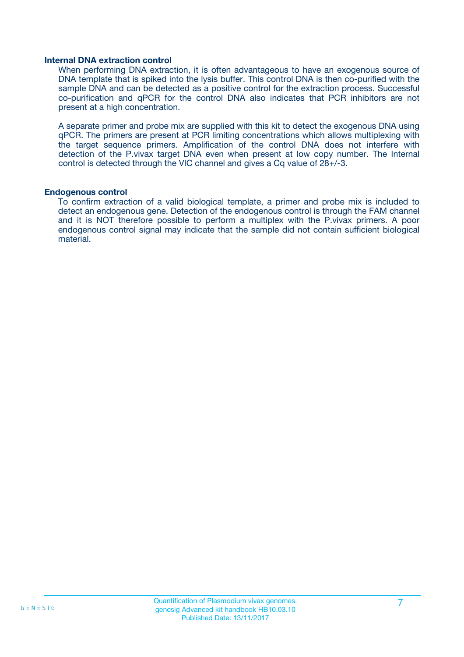#### **Internal DNA extraction control**

When performing DNA extraction, it is often advantageous to have an exogenous source of DNA template that is spiked into the lysis buffer. This control DNA is then co-purified with the sample DNA and can be detected as a positive control for the extraction process. Successful co-purification and qPCR for the control DNA also indicates that PCR inhibitors are not present at a high concentration.

A separate primer and probe mix are supplied with this kit to detect the exogenous DNA using qPCR. The primers are present at PCR limiting concentrations which allows multiplexing with the target sequence primers. Amplification of the control DNA does not interfere with detection of the P.vivax target DNA even when present at low copy number. The Internal control is detected through the VIC channel and gives a Cq value of 28+/-3.

#### **Endogenous control**

To confirm extraction of a valid biological template, a primer and probe mix is included to detect an endogenous gene. Detection of the endogenous control is through the FAM channel and it is NOT therefore possible to perform a multiplex with the P.vivax primers. A poor endogenous control signal may indicate that the sample did not contain sufficient biological material.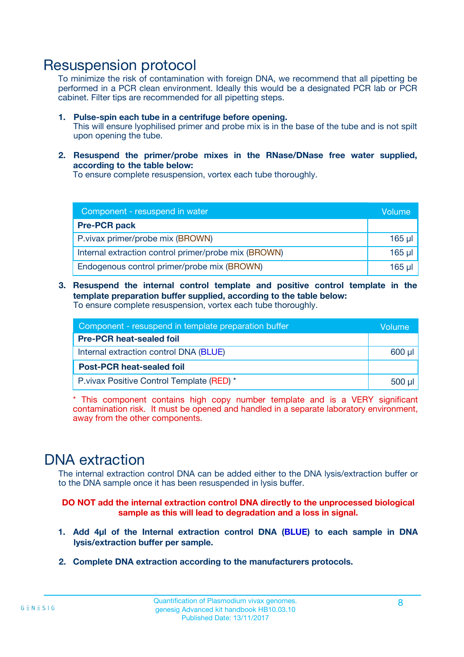### Resuspension protocol

To minimize the risk of contamination with foreign DNA, we recommend that all pipetting be performed in a PCR clean environment. Ideally this would be a designated PCR lab or PCR cabinet. Filter tips are recommended for all pipetting steps.

- **1. Pulse-spin each tube in a centrifuge before opening.** This will ensure lyophilised primer and probe mix is in the base of the tube and is not spilt upon opening the tube.
- **2. Resuspend the primer/probe mixes in the RNase/DNase free water supplied, according to the table below:**

To ensure complete resuspension, vortex each tube thoroughly.

| Component - resuspend in water                       |          |  |
|------------------------------------------------------|----------|--|
| <b>Pre-PCR pack</b>                                  |          |  |
| P.vivax primer/probe mix (BROWN)                     | $165$ µ  |  |
| Internal extraction control primer/probe mix (BROWN) | $165$ µl |  |
| Endogenous control primer/probe mix (BROWN)          | 165 µl   |  |

**3. Resuspend the internal control template and positive control template in the template preparation buffer supplied, according to the table below:** To ensure complete resuspension, vortex each tube thoroughly.

| Component - resuspend in template preparation buffer |  |  |  |
|------------------------------------------------------|--|--|--|
| <b>Pre-PCR heat-sealed foil</b>                      |  |  |  |
| Internal extraction control DNA (BLUE)               |  |  |  |
| <b>Post-PCR heat-sealed foil</b>                     |  |  |  |
| P. vivax Positive Control Template (RED) *           |  |  |  |

\* This component contains high copy number template and is a VERY significant contamination risk. It must be opened and handled in a separate laboratory environment, away from the other components.

### DNA extraction

The internal extraction control DNA can be added either to the DNA lysis/extraction buffer or to the DNA sample once it has been resuspended in lysis buffer.

**DO NOT add the internal extraction control DNA directly to the unprocessed biological sample as this will lead to degradation and a loss in signal.**

- **1. Add 4µl of the Internal extraction control DNA (BLUE) to each sample in DNA lysis/extraction buffer per sample.**
- **2. Complete DNA extraction according to the manufacturers protocols.**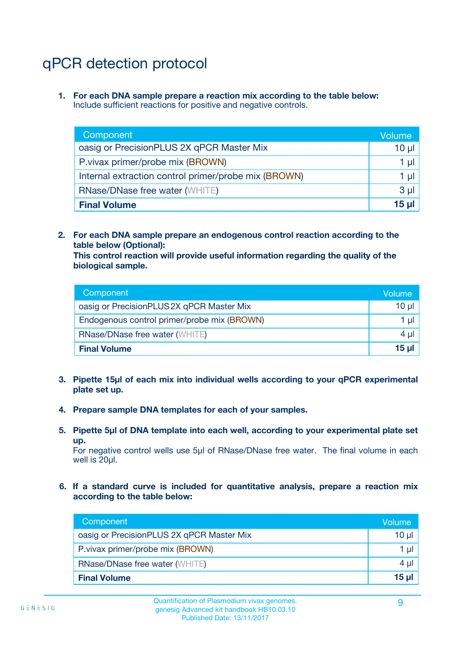# qPCR detection protocol

**1. For each DNA sample prepare a reaction mix according to the table below:** Include sufficient reactions for positive and negative controls.

| Component                                            | Volume   |
|------------------------------------------------------|----------|
| oasig or PrecisionPLUS 2X qPCR Master Mix            | $10 \mu$ |
| P.vivax primer/probe mix (BROWN)                     | 1 µI     |
| Internal extraction control primer/probe mix (BROWN) | 1 µl     |
| <b>RNase/DNase free water (WHITE)</b>                | $3 \mu$  |
| <b>Final Volume</b>                                  | 15 µl    |

**2. For each DNA sample prepare an endogenous control reaction according to the table below (Optional):**

**This control reaction will provide useful information regarding the quality of the biological sample.**

| Component                                   | Volume          |
|---------------------------------------------|-----------------|
| oasig or PrecisionPLUS 2X qPCR Master Mix   | 10 µl           |
| Endogenous control primer/probe mix (BROWN) | 1 µI            |
| <b>RNase/DNase free water (WHITE)</b>       | $4 \mu$         |
| <b>Final Volume</b>                         | 15 <sub>µ</sub> |

- **3. Pipette 15µl of each mix into individual wells according to your qPCR experimental plate set up.**
- **4. Prepare sample DNA templates for each of your samples.**
- **5. Pipette 5µl of DNA template into each well, according to your experimental plate set up.**

For negative control wells use 5µl of RNase/DNase free water. The final volume in each well is 20ul.

**6. If a standard curve is included for quantitative analysis, prepare a reaction mix according to the table below:**

| Component                                 | Volume          |
|-------------------------------------------|-----------------|
| oasig or PrecisionPLUS 2X qPCR Master Mix | $10 \mu$        |
| P.vivax primer/probe mix (BROWN)          |                 |
| <b>RNase/DNase free water (WHITE)</b>     | $4 \mu$         |
| <b>Final Volume</b>                       | 15 <sub>µ</sub> |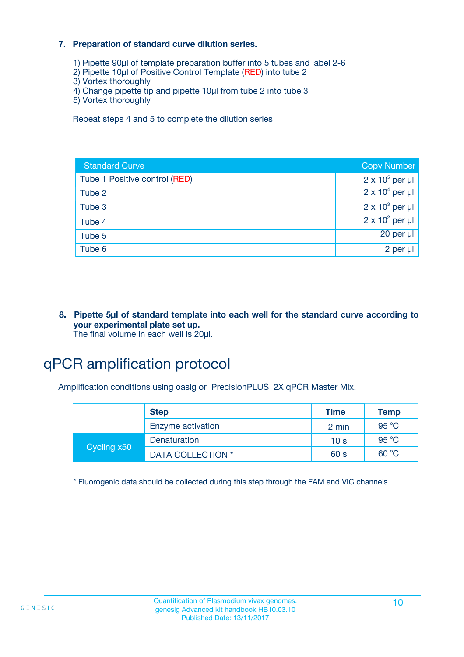#### **7. Preparation of standard curve dilution series.**

- 1) Pipette 90µl of template preparation buffer into 5 tubes and label 2-6
- 2) Pipette 10µl of Positive Control Template (RED) into tube 2
- 3) Vortex thoroughly
- 4) Change pipette tip and pipette 10µl from tube 2 into tube 3
- 5) Vortex thoroughly

Repeat steps 4 and 5 to complete the dilution series

| <b>Standard Curve</b>         | <b>Copy Number</b>     |
|-------------------------------|------------------------|
| Tube 1 Positive control (RED) | $2 \times 10^5$ per µl |
| Tube 2                        | $2 \times 10^4$ per µl |
| Tube 3                        | $2 \times 10^3$ per µl |
| Tube 4                        | $2 \times 10^2$ per µl |
| Tube 5                        | $20$ per $\mu$         |
| Tube 6                        | 2 per µl               |

**8. Pipette 5µl of standard template into each well for the standard curve according to your experimental plate set up.** The final volume in each well is 20µl.

## qPCR amplification protocol

Amplification conditions using oasig or PrecisionPLUS 2X qPCR Master Mix.

|             | <b>Step</b>       | <b>Time</b>     | <b>Temp</b> |
|-------------|-------------------|-----------------|-------------|
|             | Enzyme activation | 2 min           | 95 °C       |
| Cycling x50 | Denaturation      | 10 <sub>s</sub> | 95 °C       |
|             | DATA COLLECTION * | 60 s            | 60 °C       |

\* Fluorogenic data should be collected during this step through the FAM and VIC channels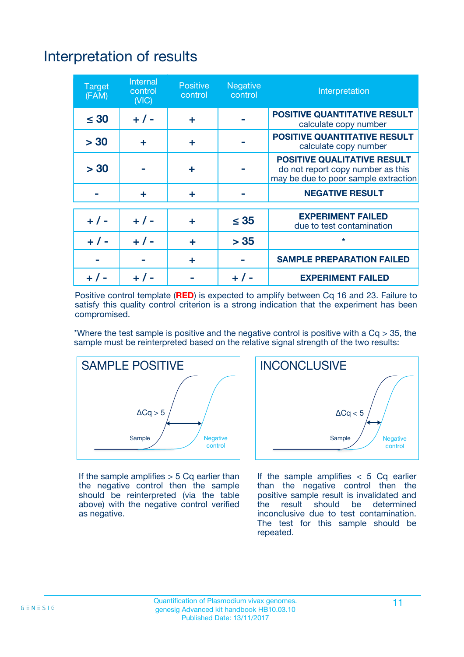# Interpretation of results

| <b>Target</b><br>(FAM) | <b>Internal</b><br>control<br>(NIC) | <b>Positive</b><br>control | <b>Negative</b><br>control | Interpretation                                                                                                  |
|------------------------|-------------------------------------|----------------------------|----------------------------|-----------------------------------------------------------------------------------------------------------------|
| $\leq 30$              | $+ 1 -$                             | ÷                          |                            | <b>POSITIVE QUANTITATIVE RESULT</b><br>calculate copy number                                                    |
| > 30                   | ٠                                   | ÷                          |                            | <b>POSITIVE QUANTITATIVE RESULT</b><br>calculate copy number                                                    |
| > 30                   |                                     | ÷                          |                            | <b>POSITIVE QUALITATIVE RESULT</b><br>do not report copy number as this<br>may be due to poor sample extraction |
|                        | ÷                                   | ÷                          |                            | <b>NEGATIVE RESULT</b>                                                                                          |
| $+ 1 -$                | $+ 1 -$                             | ÷                          | $\leq$ 35                  | <b>EXPERIMENT FAILED</b><br>due to test contamination                                                           |
| $+$ / -                | $+ 1 -$                             | ÷                          | > 35                       | $\star$                                                                                                         |
|                        |                                     | ÷                          |                            | <b>SAMPLE PREPARATION FAILED</b>                                                                                |
|                        |                                     |                            | $+$ /                      | <b>EXPERIMENT FAILED</b>                                                                                        |

Positive control template (**RED**) is expected to amplify between Cq 16 and 23. Failure to satisfy this quality control criterion is a strong indication that the experiment has been compromised.

\*Where the test sample is positive and the negative control is positive with a  $Ca > 35$ , the sample must be reinterpreted based on the relative signal strength of the two results:



If the sample amplifies  $> 5$  Cq earlier than the negative control then the sample should be reinterpreted (via the table above) with the negative control verified as negative.



If the sample amplifies  $< 5$  Cq earlier than the negative control then the positive sample result is invalidated and<br>the result should be determined  $the$  result should be inconclusive due to test contamination. The test for this sample should be repeated.